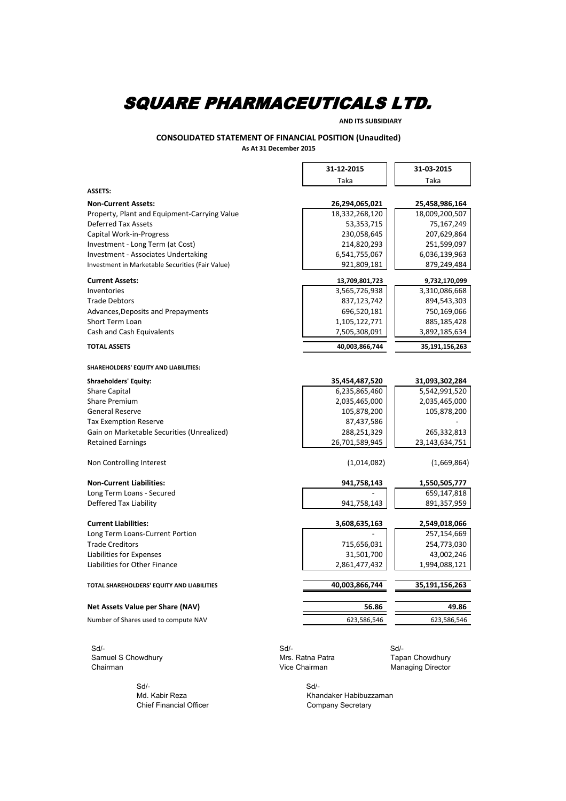**AND ITS SUBSIDIARY**

#### **CONSOLIDATED STATEMENT OF FINANCIAL POSITION (Unaudited) As At 31 December 2015**

|                                                  | 31-12-2015       | 31-03-2015        |
|--------------------------------------------------|------------------|-------------------|
|                                                  | Taka             | Taka              |
| <b>ASSETS:</b>                                   |                  |                   |
| <b>Non-Current Assets:</b>                       | 26,294,065,021   | 25,458,986,164    |
| Property, Plant and Equipment-Carrying Value     | 18,332,268,120   | 18,009,200,507    |
| <b>Deferred Tax Assets</b>                       | 53, 353, 715     | 75,167,249        |
| Capital Work-in-Progress                         | 230,058,645      | 207,629,864       |
| Investment - Long Term (at Cost)                 | 214,820,293      | 251,599,097       |
| Investment - Associates Undertaking              | 6,541,755,067    | 6,036,139,963     |
| Investment in Marketable Securities (Fair Value) | 921,809,181      | 879,249,484       |
| <b>Current Assets:</b>                           | 13,709,801,723   | 9,732,170,099     |
| Inventories                                      | 3,565,726,938    | 3,310,086,668     |
| <b>Trade Debtors</b>                             | 837,123,742      | 894,543,303       |
| Advances, Deposits and Prepayments               | 696,520,181      | 750,169,066       |
| <b>Short Term Loan</b>                           | 1,105,122,771    | 885,185,428       |
| Cash and Cash Equivalents                        | 7,505,308,091    | 3,892,185,634     |
| <b>TOTAL ASSETS</b>                              | 40,003,866,744   | 35,191,156,263    |
| SHAREHOLDERS' EQUITY AND LIABILITIES:            |                  |                   |
| <b>Shraeholders' Equity:</b>                     | 35,454,487,520   | 31,093,302,284    |
| <b>Share Capital</b>                             | 6,235,865,460    | 5,542,991,520     |
| <b>Share Premium</b>                             | 2,035,465,000    | 2,035,465,000     |
| <b>General Reserve</b>                           | 105,878,200      | 105,878,200       |
| <b>Tax Exemption Reserve</b>                     | 87,437,586       |                   |
| Gain on Marketable Securities (Unrealized)       | 288,251,329      | 265,332,813       |
| <b>Retained Earnings</b>                         | 26,701,589,945   | 23, 143, 634, 751 |
| Non Controlling Interest                         | (1,014,082)      | (1,669,864)       |
| <b>Non-Current Liabilities:</b>                  | 941,758,143      | 1,550,505,777     |
| Long Term Loans - Secured                        |                  | 659,147,818       |
| Deffered Tax Liability                           | 941,758,143      | 891,357,959       |
| <b>Current Liabilities:</b>                      | 3,608,635,163    | 2,549,018,066     |
| Long Term Loans-Current Portion                  |                  | 257,154,669       |
| <b>Trade Creditors</b>                           | 715,656,031      | 254,773,030       |
| Liabilities for Expenses                         | 31,501,700       | 43,002,246        |
| Liabilities for Other Finance                    | 2,861,477,432    | 1,994,088,121     |
|                                                  |                  |                   |
| TOTAL SHAREHOLDERS' EQUITY AND LIABILITIES       | 40,003,866,744   | 35,191,156,263    |
| Net Assets Value per Share (NAV)                 | 56.86            | 49.86             |
| Number of Shares used to compute NAV             | 623,586,546      | 623,586,546       |
| $Sd$ -                                           | $Sd$ -           | $Sd$ -            |
| Samuel S Chowdhury                               | Mrs. Ratna Patra | Tapan Chowdhury   |
| Chairman                                         | Vice Chairman    | Managing Director |

 Sd/- Sd/- Chief Financial Officer

Md. Kabir Reza Khandaker Habibuzzaman<br>Chief Financial Officer Chief Company Secretary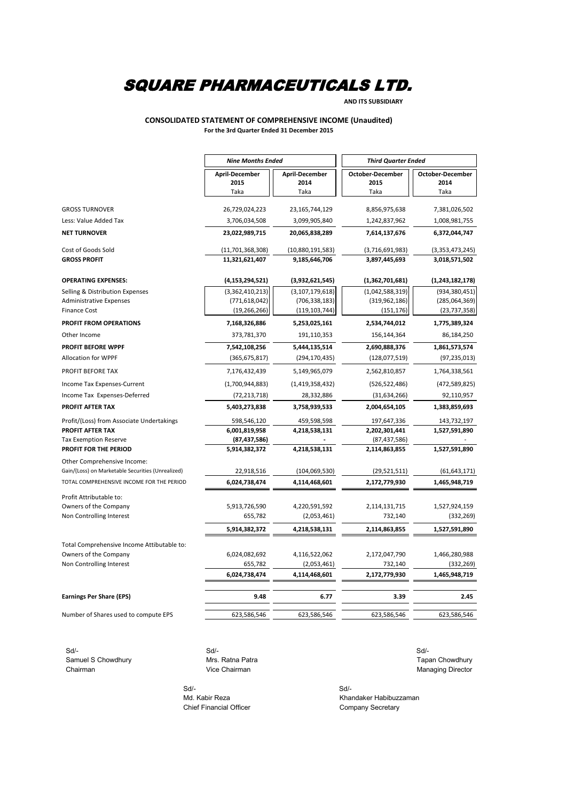**AND ITS SUBSIDIARY**

#### **CONSOLIDATED STATEMENT OF COMPREHENSIVE INCOME (Unaudited) For the 3rd Quarter Ended 31 December 2015**

|                                                                                  | <b>Nine Months Ended</b>          |                                       | <b>Third Quarter Ended</b>              |                                         |  |
|----------------------------------------------------------------------------------|-----------------------------------|---------------------------------------|-----------------------------------------|-----------------------------------------|--|
|                                                                                  | April-December<br>2015<br>Taka    | <b>April-December</b><br>2014<br>Taka | <b>October-December</b><br>2015<br>Taka | <b>October-December</b><br>2014<br>Taka |  |
| <b>GROSS TURNOVER</b><br>Less: Value Added Tax                                   | 26,729,024,223<br>3,706,034,508   | 23, 165, 744, 129<br>3,099,905,840    | 8,856,975,638<br>1,242,837,962          | 7,381,026,502<br>1,008,981,755          |  |
| <b>NET TURNOVER</b>                                                              | 23,022,989,715                    | 20,065,838,289                        | 7,614,137,676                           | 6,372,044,747                           |  |
| Cost of Goods Sold                                                               | (11,701,368,308)                  | (10,880,191,583)                      | (3,716,691,983)                         | (3,353,473,245)                         |  |
| <b>GROSS PROFIT</b>                                                              | 11,321,621,407                    | 9,185,646,706                         | 3,897,445,693                           | 3,018,571,502                           |  |
| <b>OPERATING EXPENSES:</b>                                                       | (4, 153, 294, 521)                | (3,932,621,545)                       | (1,362,701,681)                         | (1,243,182,178)                         |  |
| Selling & Distribution Expenses                                                  | (3,362,410,213)                   | (3, 107, 179, 618)                    | (1,042,588,319)                         | (934, 380, 451)                         |  |
| <b>Administrative Expenses</b><br><b>Finance Cost</b>                            | (771, 618, 042)<br>(19, 266, 266) | (706, 338, 183)<br>(119, 103, 744)    | (319, 962, 186)<br>(151, 176)           | (285,064,369)<br>(23, 737, 358)         |  |
| <b>PROFIT FROM OPERATIONS</b>                                                    | 7,168,326,886                     |                                       | 2,534,744,012                           | 1,775,389,324                           |  |
| Other Income                                                                     | 373,781,370                       | 5,253,025,161<br>191,110,353          | 156,144,364                             | 86,184,250                              |  |
| <b>PROFIT BEFORE WPPF</b>                                                        | 7,542,108,256                     | 5,444,135,514                         | 2,690,888,376                           | 1,861,573,574                           |  |
| <b>Allocation for WPPF</b>                                                       | (365, 675, 817)                   | (294, 170, 435)                       | (128,077,519)                           | (97, 235, 013)                          |  |
| PROFIT BEFORE TAX                                                                | 7,176,432,439                     | 5,149,965,079                         | 2,562,810,857                           | 1,764,338,561                           |  |
| Income Tax Expenses-Current                                                      | (1,700,944,883)                   | (1,419,358,432)                       | (526, 522, 486)                         | (472,589,825)                           |  |
| Income Tax Expenses-Deferred                                                     | (72, 213, 718)                    | 28,332,886                            | (31,634,266)                            | 92,110,957                              |  |
| <b>PROFIT AFTER TAX</b>                                                          | 5,403,273,838                     | 3,758,939,533                         | 2,004,654,105                           | 1,383,859,693                           |  |
| Profit/(Loss) from Associate Undertakings                                        | 598,546,120                       | 459,598,598                           | 197,647,336                             | 143,732,197                             |  |
| PROFIT AFTER TAX                                                                 | 6,001,819,958                     | 4,218,538,131                         | 2,202,301,441                           | 1,527,591,890                           |  |
| <b>Tax Exemption Reserve</b>                                                     | (87, 437, 586)                    |                                       | (87, 437, 586)                          |                                         |  |
| PROFIT FOR THE PERIOD                                                            | 5,914,382,372                     | 4,218,538,131                         | 2,114,863,855                           | 1,527,591,890                           |  |
| Other Comprehensive Income:<br>Gain/(Loss) on Marketable Securities (Unrealized) | 22,918,516                        | (104, 069, 530)                       | (29, 521, 511)                          | (61, 643, 171)                          |  |
| TOTAL COMPREHENSIVE INCOME FOR THE PERIOD                                        | 6,024,738,474                     | 4,114,468,601                         | 2,172,779,930                           | 1,465,948,719                           |  |
| Profit Attributable to:                                                          |                                   |                                       |                                         |                                         |  |
| Owners of the Company                                                            | 5,913,726,590                     | 4,220,591,592                         | 2,114,131,715                           | 1,527,924,159                           |  |
| Non Controlling Interest                                                         | 655,782                           | (2,053,461)                           | 732,140                                 | (332, 269)                              |  |
|                                                                                  | 5,914,382,372                     | 4,218,538,131                         | 2,114,863,855                           | 1,527,591,890                           |  |
| Total Comprehensive Income Attibutable to:                                       |                                   |                                       |                                         |                                         |  |
| Owners of the Company                                                            | 6,024,082,692                     | 4,116,522,062                         | 2,172,047,790                           | 1,466,280,988                           |  |
| Non Controlling Interest                                                         | 655,782                           | (2,053,461)                           | 732,140                                 | (332, 269)                              |  |
|                                                                                  | 6,024,738,474                     | 4,114,468,601                         | 2,172,779,930                           | 1,465,948,719                           |  |
| <b>Earnings Per Share (EPS)</b>                                                  | 9.48                              | 6.77                                  | 3.39                                    | 2.45                                    |  |
| Number of Shares used to compute EPS                                             | 623,586,546                       | 623,586,546                           | 623,586,546                             | 623,586,546                             |  |
|                                                                                  |                                   |                                       |                                         |                                         |  |

 Sd/- Sd/- Sd/- Samuel S Chowdhury **Mrs. Ratna Patra** Tapan Chowdhury **Tapan Chowdhury** Tapan Chowdhury

Chairman **Managing Director** Vice Chairman **Managing Director** Managing Director

Chief Financial Officer Chief Financial Officer Company Secretary

 Sd/- Sd/- Md. Kabir Reza Khandaker Habibuzzaman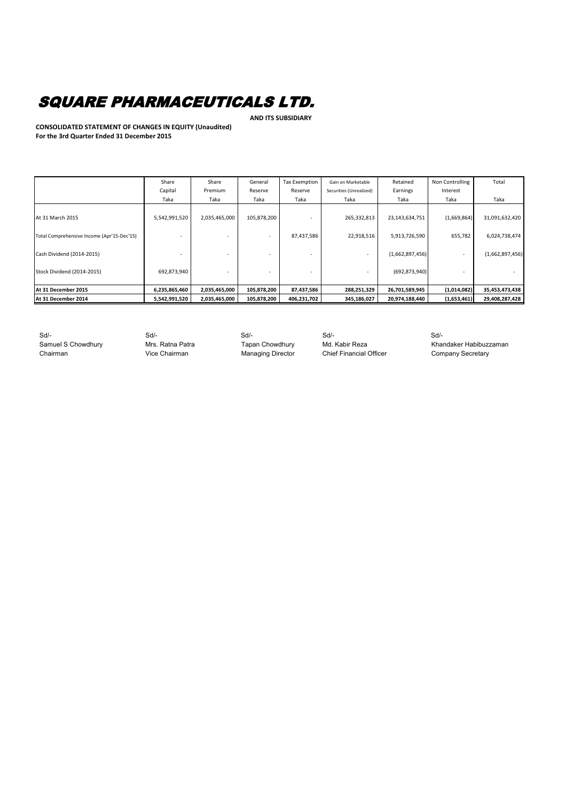**AND ITS SUBSIDIARY**

**CONSOLIDATED STATEMENT OF CHANGES IN EQUITY (Unaudited) For the 3rd Quarter Ended 31 December 2015**

|                                            | Share         | Share         | General     | <b>Tax Exemption</b> | Gain on Marketable      | Retained        | Non Controlling | Total           |
|--------------------------------------------|---------------|---------------|-------------|----------------------|-------------------------|-----------------|-----------------|-----------------|
|                                            | Capital       | Premium       | Reserve     | Reserve              | Securities (Unrealized) | Earnings        | Interest        |                 |
|                                            | Taka          | Taka          | Taka        | Taka                 | Taka                    | Taka            | Taka            | Taka            |
| At 31 March 2015                           | 5,542,991,520 | 2,035,465,000 | 105,878,200 |                      | 265,332,813             | 23,143,634,751  | (1,669,864)     | 31,091,632,420  |
| Total Comprehensive Income (Apr'15-Dec'15) |               |               |             | 87,437,586           | 22,918,516              | 5,913,726,590   | 655,782         | 6,024,738,474   |
| Cash Dividend (2014-2015)                  |               |               |             |                      |                         | (1,662,897,456) |                 | (1,662,897,456) |
| Stock Dividend (2014-2015)                 | 692,873,940   |               |             |                      |                         | (692, 873, 940) |                 |                 |
| At 31 December 2015                        | 6,235,865,460 | 2,035,465,000 | 105,878,200 | 87,437,586           | 288,251,329             | 26,701,589,945  | (1,014,082)     | 35,453,473,438  |
| At 31 December 2014                        | 5,542,991,520 | 2,035,465,000 | 105,878,200 | 406,231,702          | 345,186,027             | 20,974,188,440  | (1,653,461)     | 29,408,287,428  |

Chairman **Vice Chairman** Vice Chairman Managing Director Chief Financial Officer Company Secretary

Sd/- Sd/- Sd/- Sd/- Sd/-

Samuel S Chowdhury **Mrs. Ratna Patra** Tapan Chowdhury Md. Kabir Reza Khandaker Habibuzzaman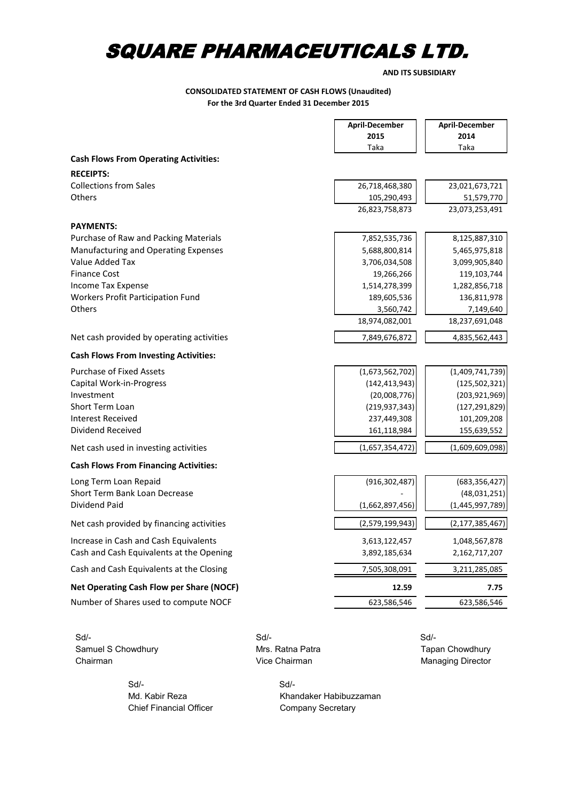**AND ITS SUBSIDIARY**

#### **CONSOLIDATED STATEMENT OF CASH FLOWS (Unaudited) For the 3rd Quarter Ended 31 December 2015**

'n

|                                              |      | <b>April-December</b> | <b>April-December</b> |
|----------------------------------------------|------|-----------------------|-----------------------|
|                                              |      | 2015                  | 2014                  |
|                                              |      | Taka                  | Taka                  |
| <b>Cash Flows From Operating Activities:</b> |      |                       |                       |
| <b>RECEIPTS:</b>                             |      |                       |                       |
| <b>Collections from Sales</b>                |      | 26,718,468,380        | 23,021,673,721        |
| Others                                       |      | 105,290,493           | 51,579,770            |
|                                              |      | 26,823,758,873        | 23,073,253,491        |
| <b>PAYMENTS:</b>                             |      |                       |                       |
| Purchase of Raw and Packing Materials        |      | 7,852,535,736         | 8,125,887,310         |
| Manufacturing and Operating Expenses         |      | 5,688,800,814         | 5,465,975,818         |
| Value Added Tax                              |      | 3,706,034,508         | 3,099,905,840         |
| <b>Finance Cost</b>                          |      | 19,266,266            | 119,103,744           |
| Income Tax Expense                           |      | 1,514,278,399         | 1,282,856,718         |
| Workers Profit Participation Fund            |      | 189,605,536           | 136,811,978           |
| Others                                       |      | 3,560,742             | 7,149,640             |
|                                              |      | 18,974,082,001        | 18,237,691,048        |
| Net cash provided by operating activities    |      | 7,849,676,872         | 4,835,562,443         |
| <b>Cash Flows From Investing Activities:</b> |      |                       |                       |
| <b>Purchase of Fixed Assets</b>              |      | (1,673,562,702)       | (1,409,741,739)       |
| Capital Work-in-Progress                     |      | (142, 413, 943)       | (125, 502, 321)       |
| Investment                                   |      | (20,008,776)          | (203, 921, 969)       |
| Short Term Loan                              |      | (219, 937, 343)       | (127, 291, 829)       |
| <b>Interest Received</b>                     |      | 237,449,308           | 101,209,208           |
| Dividend Received                            |      | 161,118,984           | 155,639,552           |
| Net cash used in investing activities        |      | (1,657,354,472)       | (1,609,609,098)       |
| <b>Cash Flows From Financing Activities:</b> |      |                       |                       |
| Long Term Loan Repaid                        |      | (916, 302, 487)       | (683, 356, 427)       |
| Short Term Bank Loan Decrease                |      |                       | (48,031,251)          |
| Dividend Paid                                |      | (1,662,897,456)       | (1,445,997,789)       |
| Net cash provided by financing activities    |      | (2,579,199,943)       | (2, 177, 385, 467)    |
| Increase in Cash and Cash Equivalents        |      | 3,613,122,457         | 1,048,567,878         |
| Cash and Cash Equivalents at the Opening     |      | 3,892,185,634         | 2,162,717,207         |
| Cash and Cash Equivalents at the Closing     |      | 7,505,308,091         | 3,211,285,085         |
| Net Operating Cash Flow per Share (NOCF)     |      | 12.59                 | 7.75                  |
| Number of Shares used to compute NOCF        |      | 623,586,546           | 623,586,546           |
|                                              |      |                       |                       |
| Sd/-                                         | Sd/- |                       | Sd/-                  |

Samuel S Chowdhury **Mrs. Ratna Patra Mrs. Ratna Patra** Tapan Chowdhury Chairman Managing Director

 Sd/- Sd/- Chief Financial Officer Company Secretary

Managing Director

Md. Kabir Reza Khandaker Habibuzzaman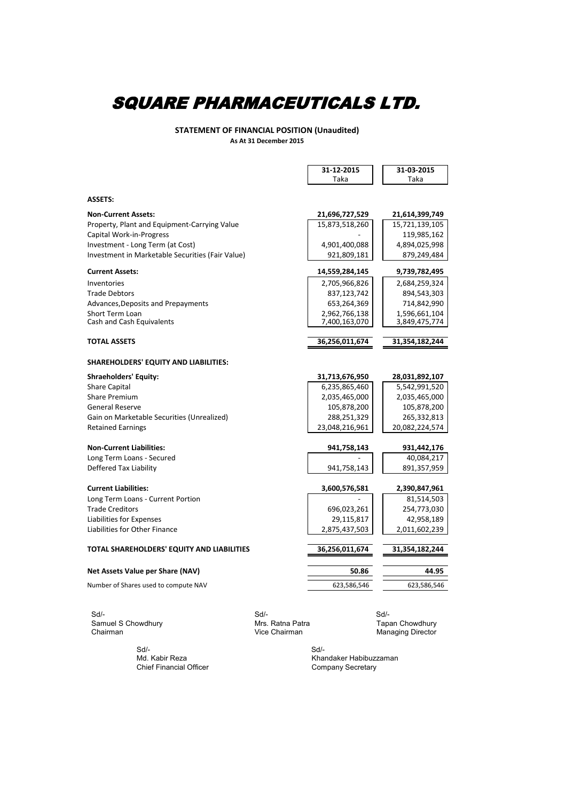**STATEMENT OF FINANCIAL POSITION (Unaudited) As At 31 December 2015**

|                                                  | 31-12-2015     | 31-03-2015                  |
|--------------------------------------------------|----------------|-----------------------------|
|                                                  | Taka           | Taka                        |
|                                                  |                |                             |
| <b>ASSETS:</b>                                   |                |                             |
| <b>Non-Current Assets:</b>                       | 21,696,727,529 | 21,614,399,749              |
| Property, Plant and Equipment-Carrying Value     | 15,873,518,260 | 15,721,139,105              |
| Capital Work-in-Progress                         |                | 119,985,162                 |
| Investment - Long Term (at Cost)                 | 4,901,400,088  | 4,894,025,998               |
| Investment in Marketable Securities (Fair Value) | 921,809,181    | 879,249,484                 |
| <b>Current Assets:</b>                           | 14,559,284,145 | 9,739,782,495               |
| Inventories                                      | 2,705,966,826  | 2,684,259,324               |
| <b>Trade Debtors</b>                             | 837,123,742    | 894,543,303                 |
| Advances, Deposits and Prepayments               | 653,264,369    | 714,842,990                 |
| Short Term Loan                                  | 2,962,766,138  | 1,596,661,104               |
| Cash and Cash Equivalents                        | 7,400,163,070  | 3,849,475,774               |
| <b>TOTAL ASSETS</b>                              | 36,256,011,674 | 31,354,182,244              |
|                                                  |                |                             |
| SHAREHOLDERS' EQUITY AND LIABILITIES:            |                |                             |
| <b>Shraeholders' Equity:</b>                     | 31,713,676,950 | 28,031,892,107              |
| <b>Share Capital</b>                             | 6,235,865,460  | 5,542,991,520               |
| <b>Share Premium</b>                             | 2,035,465,000  | 2,035,465,000               |
| <b>General Reserve</b>                           | 105,878,200    | 105,878,200                 |
| Gain on Marketable Securities (Unrealized)       | 288,251,329    | 265,332,813                 |
| <b>Retained Earnings</b>                         | 23,048,216,961 | 20,082,224,574              |
| <b>Non-Current Liabilities:</b>                  | 941,758,143    | 931,442,176                 |
| Long Term Loans - Secured                        |                | 40,084,217                  |
| Deffered Tax Liability                           | 941,758,143    | 891,357,959                 |
| <b>Current Liabilities:</b>                      | 3,600,576,581  |                             |
| Long Term Loans - Current Portion                |                | 2,390,847,961<br>81,514,503 |
| <b>Trade Creditors</b>                           | 696,023,261    | 254,773,030                 |
| Liabilities for Expenses                         | 29,115,817     | 42,958,189                  |
| Liabilities for Other Finance                    | 2,875,437,503  | 2,011,602,239               |
|                                                  |                |                             |
| TOTAL SHAREHOLDERS' EQUITY AND LIABILITIES       | 36,256,011,674 | 31,354,182,244              |
| Net Assets Value per Share (NAV)                 | 50.86          | 44.95                       |
| Number of Shares used to compute NAV             | 623,586,546    | 623,586,546                 |
|                                                  |                |                             |

 Sd/- Sd/- Sd/- Samuel S Chowdhury Mrs. Ratna Patra<br>
Chairman Mrs. Ratna Patra

 Sd/- Sd/- Chief Financial Officer

**Cair**<br>Tapan Chowdhury<br>Managing Director

Md. Kabir Reza Khandaker Habibuzzaman<br>Chief Financial Officer Company Secretary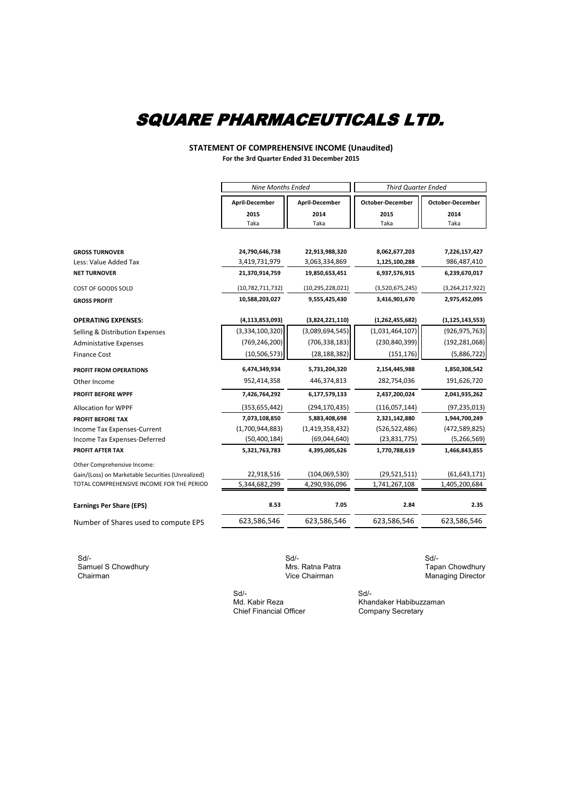#### **STATEMENT OF COMPREHENSIVE INCOME (Unaudited) For the 3rd Quarter Ended 31 December 2015**

|                                                   |                       | <b>Nine Months Ended</b> |                         | <b>Third Quarter Ended</b> |  |  |
|---------------------------------------------------|-----------------------|--------------------------|-------------------------|----------------------------|--|--|
|                                                   | <b>April-December</b> | <b>April-December</b>    | <b>October-December</b> | <b>October-December</b>    |  |  |
|                                                   | 2015                  | 2014                     | 2015                    | 2014                       |  |  |
|                                                   | Taka                  | Taka                     | Taka                    | Taka                       |  |  |
|                                                   |                       |                          |                         |                            |  |  |
| <b>GROSS TURNOVER</b>                             | 24,790,646,738        | 22,913,988,320           | 8,062,677,203           | 7,226,157,427              |  |  |
| Less: Value Added Tax                             | 3,419,731,979         | 3,063,334,869            | 1,125,100,288           | 986,487,410                |  |  |
| <b>NET TURNOVER</b>                               | 21,370,914,759        | 19,850,653,451           | 6,937,576,915           | 6,239,670,017              |  |  |
| COST OF GOODS SOLD                                | (10,782,711,732)      | (10, 295, 228, 021)      | (3,520,675,245)         | (3,264,217,922)            |  |  |
| <b>GROSS PROFIT</b>                               | 10,588,203,027        | 9,555,425,430            | 3,416,901,670           | 2,975,452,095              |  |  |
| <b>OPERATING EXPENSES:</b>                        | (4, 113, 853, 093)    | (3,824,221,110)          | (1, 262, 455, 682)      | (1, 125, 143, 553)         |  |  |
| Selling & Distribution Expenses                   | (3,334,100,320)       | (3,089,694,545)          | (1,031,464,107)         | (926, 975, 763)            |  |  |
| <b>Administative Expenses</b>                     | (769, 246, 200)       | (706, 338, 183)          | (230, 840, 399)         | (192, 281, 068)            |  |  |
| <b>Finance Cost</b>                               | (10, 506, 573)        | (28, 188, 382)           | (151, 176)              | (5,886,722)                |  |  |
| <b>PROFIT FROM OPERATIONS</b>                     | 6,474,349,934         | 5,731,204,320            | 2,154,445,988           | 1,850,308,542              |  |  |
| Other Income                                      | 952,414,358           | 446,374,813              | 282,754,036             | 191,626,720                |  |  |
| <b>PROFIT BEFORE WPPF</b>                         | 7,426,764,292         | 6,177,579,133            | 2,437,200,024           | 2,041,935,262              |  |  |
| Allocation for WPPF                               | (353, 655, 442)       | (294, 170, 435)          | (116, 057, 144)         | (97, 235, 013)             |  |  |
| PROFIT BEFORE TAX                                 | 7,073,108,850         | 5,883,408,698            | 2,321,142,880           | 1,944,700,249              |  |  |
| Income Tax Expenses-Current                       | (1,700,944,883)       | (1,419,358,432)          | (526, 522, 486)         | (472,589,825)              |  |  |
| Income Tax Expenses-Deferred                      | (50, 400, 184)        | (69,044,640)             | (23, 831, 775)          | (5, 266, 569)              |  |  |
| PROFIT AFTER TAX                                  | 5,321,763,783         | 4,395,005,626            | 1,770,788,619           | 1,466,843,855              |  |  |
| Other Comprehensive Income:                       |                       |                          |                         |                            |  |  |
| Gain/(Loss) on Marketable Securities (Unrealized) | 22,918,516            | (104, 069, 530)          | (29, 521, 511)          | (61, 643, 171)             |  |  |
| TOTAL COMPREHENSIVE INCOME FOR THE PERIOD         | 5,344,682,299         | 4,290,936,096            | 1,741,267,108           | 1,405,200,684              |  |  |
| <b>Earnings Per Share (EPS)</b>                   | 8.53                  | 7.05                     | 2.84                    | 2.35                       |  |  |
| Number of Shares used to compute EPS              | 623,586,546           | 623,586,546              | 623,586,546             | 623,586,546                |  |  |

 Sd/- Sd/- Sd/- Samuel S Chowdhury **Samuel S Chowdhury** Mrs. Ratna Patra Chairman Mrs. Ratna Patra Chairman Vice Chairman Vice Chairman Vice Chairman Vice Chairman Vice Chairman Vice Chairman Vice Chairman Vice Chairman Vice Chairman Vice

**Cair**<br>Tapan Chowdhury<br>Managing Director

 Sd/- Sd/- Chief Financial Officer

Md. Kabir Reza Khandaker Habibuzzaman<br>Chief Financial Officer Company Secretary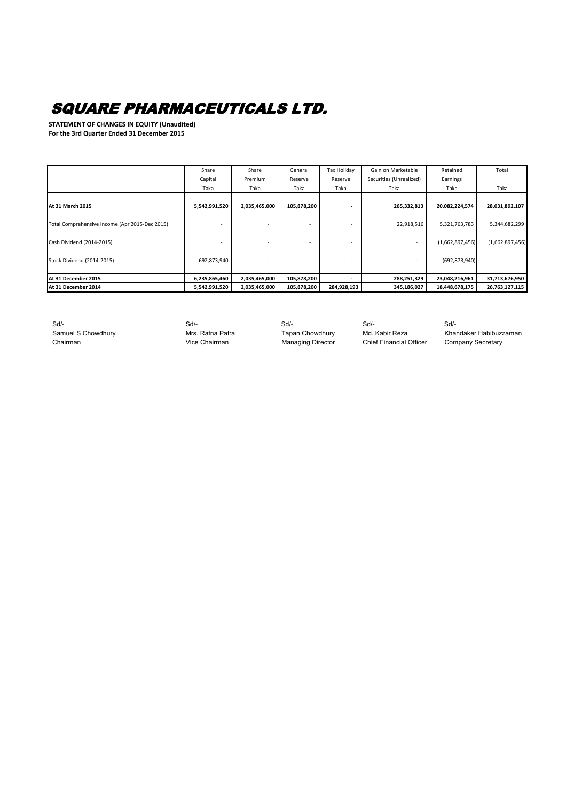**STATEMENT OF CHANGES IN EQUITY (Unaudited) For the 3rd Quarter Ended 31 December 2015**

|                                                | Share         | Share         | General     | Tax Holiday | Gain on Marketable       | Retained        | Total           |
|------------------------------------------------|---------------|---------------|-------------|-------------|--------------------------|-----------------|-----------------|
|                                                | Capital       | Premium       | Reserve     | Reserve     | Securities (Unrealized)  | Earnings        |                 |
|                                                | Taka          | Taka          | Taka        | Taka        | Taka                     | Taka            | Taka            |
| <b>At 31 March 2015</b>                        | 5,542,991,520 | 2,035,465,000 | 105,878,200 |             | 265,332,813              | 20,082,224,574  | 28,031,892,107  |
| Total Comprehensive Income (Apr'2015-Dec'2015) |               |               |             |             | 22,918,516               | 5,321,763,783   | 5,344,682,299   |
| Cash Dividend (2014-2015)                      |               |               |             |             | $\overline{\phantom{0}}$ | (1,662,897,456) | (1,662,897,456) |
| Stock Dividend (2014-2015)                     | 692,873,940   |               |             |             |                          | (692, 873, 940) |                 |
| At 31 December 2015                            | 6,235,865,460 | 2,035,465,000 | 105,878,200 |             | 288,251,329              | 23,048,216,961  | 31,713,676,950  |
| At 31 December 2014                            | 5,542,991,520 | 2,035,465,000 | 105,878,200 | 284,928,193 | 345,186,027              | 18,448,678,175  | 26,763,127,115  |

 Sd/- Sd/- Sd/- Sd/- Sd/- Chairman Chairman Vice Chairman Managing Director Chief Financial Officer Company Secretary

Samuel S Chowdhury **Mrs. Ratna Patra** Tapan Chowdhury Md. Kabir Reza Khandaker Habibuzzaman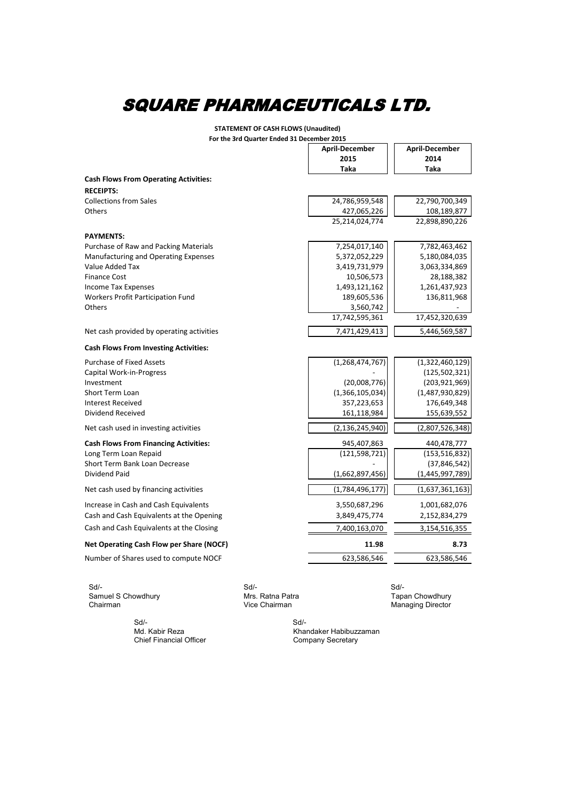**STATEMENT OF CASH FLOWS (Unaudited)**

| <b>April-December</b><br>2015<br><b>Taka</b><br>24,786,959,548<br>427,065,226<br>25,214,024,774<br>7,254,017,140<br>5,372,052,229<br>3,419,731,979<br>10,506,573<br>1,493,121,162<br>189,605,536<br>3,560,742<br>17,742,595,361 | <b>April-December</b><br>2014<br><b>Taka</b><br>22,790,700,349<br>108,189,877<br>22,898,890,226<br>7,782,463,462<br>5,180,084,035<br>3,063,334,869<br>28,188,382<br>1,261,437,923<br>136,811,968 |
|---------------------------------------------------------------------------------------------------------------------------------------------------------------------------------------------------------------------------------|--------------------------------------------------------------------------------------------------------------------------------------------------------------------------------------------------|
|                                                                                                                                                                                                                                 |                                                                                                                                                                                                  |
|                                                                                                                                                                                                                                 |                                                                                                                                                                                                  |
|                                                                                                                                                                                                                                 |                                                                                                                                                                                                  |
|                                                                                                                                                                                                                                 |                                                                                                                                                                                                  |
|                                                                                                                                                                                                                                 |                                                                                                                                                                                                  |
|                                                                                                                                                                                                                                 |                                                                                                                                                                                                  |
|                                                                                                                                                                                                                                 |                                                                                                                                                                                                  |
|                                                                                                                                                                                                                                 |                                                                                                                                                                                                  |
|                                                                                                                                                                                                                                 |                                                                                                                                                                                                  |
|                                                                                                                                                                                                                                 |                                                                                                                                                                                                  |
|                                                                                                                                                                                                                                 |                                                                                                                                                                                                  |
|                                                                                                                                                                                                                                 |                                                                                                                                                                                                  |
|                                                                                                                                                                                                                                 |                                                                                                                                                                                                  |
|                                                                                                                                                                                                                                 |                                                                                                                                                                                                  |
|                                                                                                                                                                                                                                 |                                                                                                                                                                                                  |
|                                                                                                                                                                                                                                 |                                                                                                                                                                                                  |
|                                                                                                                                                                                                                                 | 17,452,320,639                                                                                                                                                                                   |
| 7,471,429,413                                                                                                                                                                                                                   | 5,446,569,587                                                                                                                                                                                    |
|                                                                                                                                                                                                                                 |                                                                                                                                                                                                  |
| (1, 268, 474, 767)                                                                                                                                                                                                              | (1,322,460,129)                                                                                                                                                                                  |
|                                                                                                                                                                                                                                 | (125, 502, 321)                                                                                                                                                                                  |
| (20,008,776)                                                                                                                                                                                                                    | (203, 921, 969)                                                                                                                                                                                  |
| (1,366,105,034)                                                                                                                                                                                                                 | (1,487,930,829)                                                                                                                                                                                  |
| 357,223,653                                                                                                                                                                                                                     | 176,649,348                                                                                                                                                                                      |
| 161,118,984                                                                                                                                                                                                                     | 155,639,552                                                                                                                                                                                      |
|                                                                                                                                                                                                                                 | (2,807,526,348)                                                                                                                                                                                  |
|                                                                                                                                                                                                                                 | 440,478,777                                                                                                                                                                                      |
|                                                                                                                                                                                                                                 | (153, 516, 832)                                                                                                                                                                                  |
|                                                                                                                                                                                                                                 | (37, 846, 542)                                                                                                                                                                                   |
|                                                                                                                                                                                                                                 | (1,445,997,789)                                                                                                                                                                                  |
|                                                                                                                                                                                                                                 | (1,637,361,163)                                                                                                                                                                                  |
|                                                                                                                                                                                                                                 | 1,001,682,076                                                                                                                                                                                    |
|                                                                                                                                                                                                                                 | 2,152,834,279                                                                                                                                                                                    |
|                                                                                                                                                                                                                                 | 3,154,516,355                                                                                                                                                                                    |
|                                                                                                                                                                                                                                 | 8.73                                                                                                                                                                                             |
| 11.98                                                                                                                                                                                                                           | 623,586,546                                                                                                                                                                                      |
|                                                                                                                                                                                                                                 | (2, 136, 245, 940)<br>945,407,863<br>(121, 598, 721)<br>(1,662,897,456)<br>(1,784,496,177)<br>3,550,687,296<br>3,849,475,774<br>7,400,163,070<br>623,586,546                                     |

 Sd/- Sd/- Sd/- Samuel S Chowdhury **Mrs. Ratna Patra** Mrs. Ratna Patra Tapan Chowdhury Chairman **Managing Director** Chairman Chairman Managing Director

 Sd/- Sd/- Chief Financial Officer

Md. Kabir Reza Khandaker Habibuzzaman